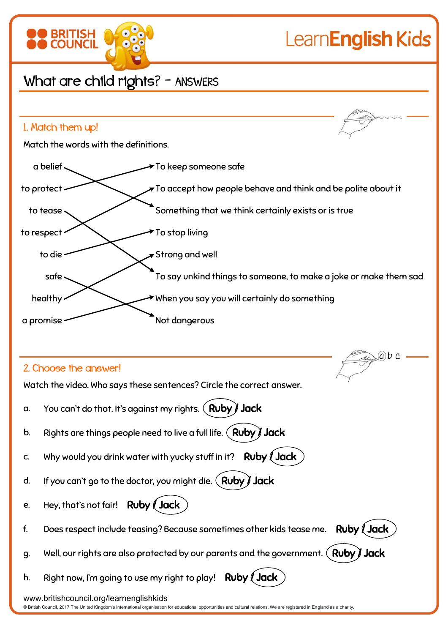

© British Council, 2017 The United Kingdom's international organisation for educational opportunities and cultural relations. We are registered in England as a charity.